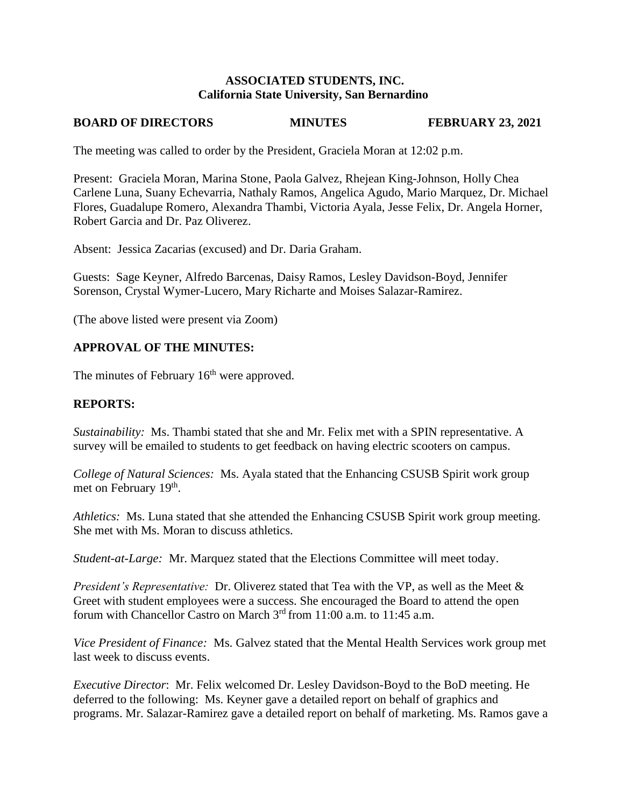## **ASSOCIATED STUDENTS, INC. California State University, San Bernardino**

# **BOARD OF DIRECTORS MINUTES FEBRUARY 23, 2021**

The meeting was called to order by the President, Graciela Moran at 12:02 p.m.

Present: Graciela Moran, Marina Stone, Paola Galvez, Rhejean King-Johnson, Holly Chea Carlene Luna, Suany Echevarria, Nathaly Ramos, Angelica Agudo, Mario Marquez, Dr. Michael Flores, Guadalupe Romero, Alexandra Thambi, Victoria Ayala, Jesse Felix, Dr. Angela Horner, Robert Garcia and Dr. Paz Oliverez.

Absent: Jessica Zacarias (excused) and Dr. Daria Graham.

Guests: Sage Keyner, Alfredo Barcenas, Daisy Ramos, Lesley Davidson-Boyd, Jennifer Sorenson, Crystal Wymer-Lucero, Mary Richarte and Moises Salazar-Ramirez.

(The above listed were present via Zoom)

# **APPROVAL OF THE MINUTES:**

The minutes of February 16<sup>th</sup> were approved.

# **REPORTS:**

*Sustainability:* Ms. Thambi stated that she and Mr. Felix met with a SPIN representative. A survey will be emailed to students to get feedback on having electric scooters on campus.

*College of Natural Sciences:* Ms. Ayala stated that the Enhancing CSUSB Spirit work group met on February 19<sup>th</sup>.

*Athletics:* Ms. Luna stated that she attended the Enhancing CSUSB Spirit work group meeting. She met with Ms. Moran to discuss athletics.

*Student-at-Large:* Mr. Marquez stated that the Elections Committee will meet today.

*President's Representative:* Dr. Oliverez stated that Tea with the VP, as well as the Meet & Greet with student employees were a success. She encouraged the Board to attend the open forum with Chancellor Castro on March 3rd from 11:00 a.m. to 11:45 a.m.

*Vice President of Finance:* Ms. Galvez stated that the Mental Health Services work group met last week to discuss events.

*Executive Director*: Mr. Felix welcomed Dr. Lesley Davidson-Boyd to the BoD meeting. He deferred to the following: Ms. Keyner gave a detailed report on behalf of graphics and programs. Mr. Salazar-Ramirez gave a detailed report on behalf of marketing. Ms. Ramos gave a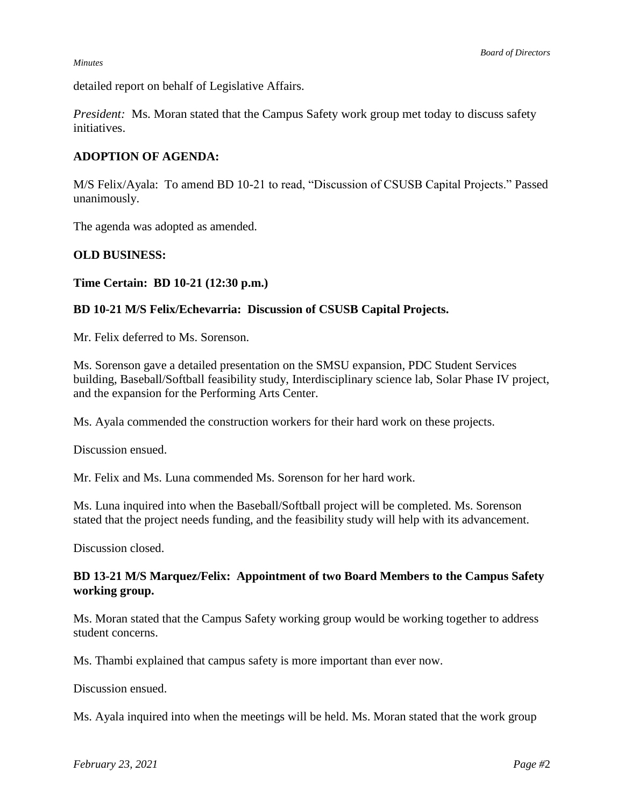detailed report on behalf of Legislative Affairs.

*President:* Ms. Moran stated that the Campus Safety work group met today to discuss safety initiatives.

## **ADOPTION OF AGENDA:**

M/S Felix/Ayala: To amend BD 10-21 to read, "Discussion of CSUSB Capital Projects." Passed unanimously.

The agenda was adopted as amended.

### **OLD BUSINESS:**

### **Time Certain: BD 10-21 (12:30 p.m.)**

## **BD 10-21 M/S Felix/Echevarria: Discussion of CSUSB Capital Projects.**

Mr. Felix deferred to Ms. Sorenson.

Ms. Sorenson gave a detailed presentation on the SMSU expansion, PDC Student Services building, Baseball/Softball feasibility study, Interdisciplinary science lab, Solar Phase IV project, and the expansion for the Performing Arts Center.

Ms. Ayala commended the construction workers for their hard work on these projects.

Discussion ensued.

Mr. Felix and Ms. Luna commended Ms. Sorenson for her hard work.

Ms. Luna inquired into when the Baseball/Softball project will be completed. Ms. Sorenson stated that the project needs funding, and the feasibility study will help with its advancement.

Discussion closed.

# **BD 13-21 M/S Marquez/Felix: Appointment of two Board Members to the Campus Safety working group.**

Ms. Moran stated that the Campus Safety working group would be working together to address student concerns.

Ms. Thambi explained that campus safety is more important than ever now.

Discussion ensued.

Ms. Ayala inquired into when the meetings will be held. Ms. Moran stated that the work group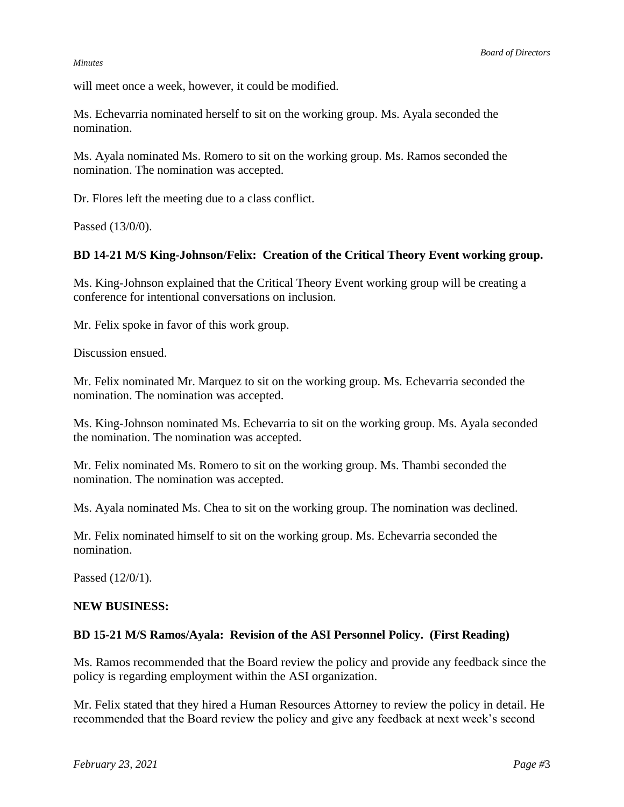will meet once a week, however, it could be modified.

Ms. Echevarria nominated herself to sit on the working group. Ms. Ayala seconded the nomination.

Ms. Ayala nominated Ms. Romero to sit on the working group. Ms. Ramos seconded the nomination. The nomination was accepted.

Dr. Flores left the meeting due to a class conflict.

Passed (13/0/0).

# **BD 14-21 M/S King-Johnson/Felix: Creation of the Critical Theory Event working group.**

Ms. King-Johnson explained that the Critical Theory Event working group will be creating a conference for intentional conversations on inclusion.

Mr. Felix spoke in favor of this work group.

Discussion ensued.

Mr. Felix nominated Mr. Marquez to sit on the working group. Ms. Echevarria seconded the nomination. The nomination was accepted.

Ms. King-Johnson nominated Ms. Echevarria to sit on the working group. Ms. Ayala seconded the nomination. The nomination was accepted.

Mr. Felix nominated Ms. Romero to sit on the working group. Ms. Thambi seconded the nomination. The nomination was accepted.

Ms. Ayala nominated Ms. Chea to sit on the working group. The nomination was declined.

Mr. Felix nominated himself to sit on the working group. Ms. Echevarria seconded the nomination.

Passed (12/0/1).

### **NEW BUSINESS:**

## **BD 15-21 M/S Ramos/Ayala: Revision of the ASI Personnel Policy. (First Reading)**

Ms. Ramos recommended that the Board review the policy and provide any feedback since the policy is regarding employment within the ASI organization.

Mr. Felix stated that they hired a Human Resources Attorney to review the policy in detail. He recommended that the Board review the policy and give any feedback at next week's second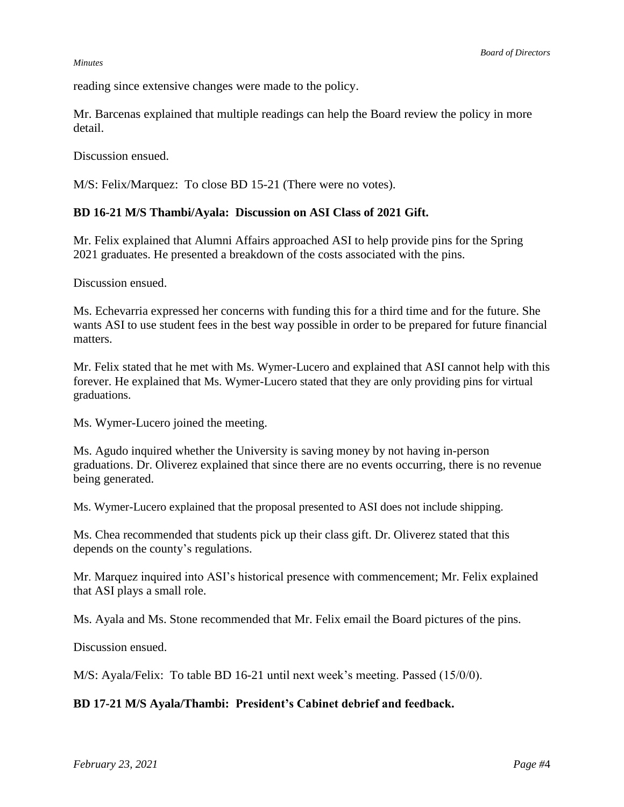reading since extensive changes were made to the policy.

Mr. Barcenas explained that multiple readings can help the Board review the policy in more detail.

Discussion ensued.

M/S: Felix/Marquez: To close BD 15-21 (There were no votes).

## **BD 16-21 M/S Thambi/Ayala: Discussion on ASI Class of 2021 Gift.**

Mr. Felix explained that Alumni Affairs approached ASI to help provide pins for the Spring 2021 graduates. He presented a breakdown of the costs associated with the pins.

Discussion ensued.

Ms. Echevarria expressed her concerns with funding this for a third time and for the future. She wants ASI to use student fees in the best way possible in order to be prepared for future financial matters.

Mr. Felix stated that he met with Ms. Wymer-Lucero and explained that ASI cannot help with this forever. He explained that Ms. Wymer-Lucero stated that they are only providing pins for virtual graduations.

Ms. Wymer-Lucero joined the meeting.

Ms. Agudo inquired whether the University is saving money by not having in-person graduations. Dr. Oliverez explained that since there are no events occurring, there is no revenue being generated.

Ms. Wymer-Lucero explained that the proposal presented to ASI does not include shipping.

Ms. Chea recommended that students pick up their class gift. Dr. Oliverez stated that this depends on the county's regulations.

Mr. Marquez inquired into ASI's historical presence with commencement; Mr. Felix explained that ASI plays a small role.

Ms. Ayala and Ms. Stone recommended that Mr. Felix email the Board pictures of the pins.

Discussion ensued.

M/S: Ayala/Felix: To table BD 16-21 until next week's meeting. Passed (15/0/0).

## **BD 17-21 M/S Ayala/Thambi: President's Cabinet debrief and feedback.**